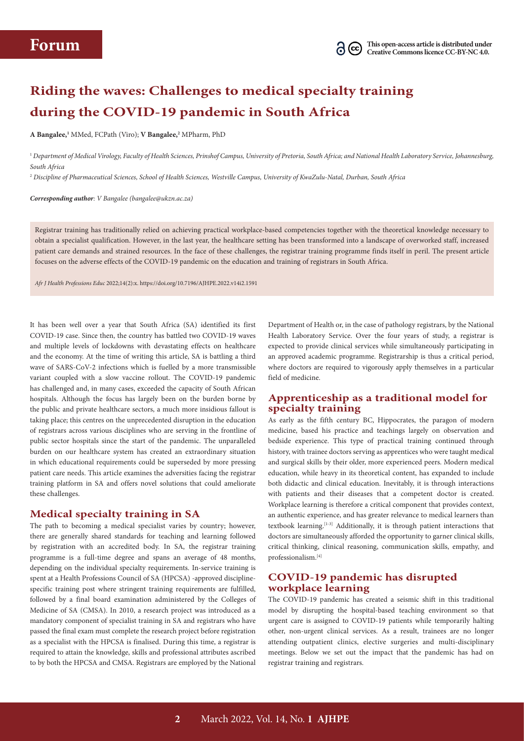# **Riding the waves: Challenges to medical specialty training during the COVID-19 pandemic in South Africa**

**A Bangalee,1** MMed, FCPath (Viro); **V Bangalee,2** MPharm, PhD

<sup>1</sup> *Department of Medical Virology, Faculty of Health Sciences, Prinshof Campus, University of Pretoria, South Africa; and National Health Laboratory Service, Johannesburg, South Africa*

<sup>2</sup> *Discipline of Pharmaceutical Sciences, School of Health Sciences, Westville Campus, University of KwaZulu-Natal, Durban, South Africa*

*Corresponding author: V Bangalee (bangalee@ukzn.ac.za)*

Registrar training has traditionally relied on achieving practical workplace-based competencies together with the theoretical knowledge necessary to obtain a specialist qualification. However, in the last year, the healthcare setting has been transformed into a landscape of overworked staff, increased patient care demands and strained resources. In the face of these challenges, the registrar training programme finds itself in peril. The present article focuses on the adverse effects of the COVID-19 pandemic on the education and training of registrars in South Africa.

*Afr J Health Professions Educ* 2022;14(2):x. https://doi.org/10.7196/AJHPE.2022.v14i2.1591

It has been well over a year that South Africa (SA) identified its first COVID‑19 case. Since then, the country has battled two COVID-19 waves and multiple levels of lockdowns with devastating effects on healthcare and the economy. At the time of writing this article, SA is battling a third wave of SARS-CoV-2 infections which is fuelled by a more transmissible variant coupled with a slow vaccine rollout. The COVID-19 pandemic has challenged and, in many cases, exceeded the capacity of South African hospitals. Although the focus has largely been on the burden borne by the public and private healthcare sectors, a much more insidious fallout is taking place; this centres on the unprecedented disruption in the education of registrars across various disciplines who are serving in the frontline of public sector hospitals since the start of the pandemic. The unparalleled burden on our healthcare system has created an extraordinary situation in which educational requirements could be superseded by more pressing patient care needs. This article examines the adversities facing the registrar training platform in SA and offers novel solutions that could ameliorate these challenges.

### **Medical specialty training in SA**

The path to becoming a medical specialist varies by country; however, there are generally shared standards for teaching and learning followed by registration with an accredited body. In SA, the registrar training programme is a full-time degree and spans an average of 48 months, depending on the individual specialty requirements. In-service training is spent at a Health Professions Council of SA (HPCSA) -approved disciplinespecific training post where stringent training requirements are fulfilled, followed by a final board examination administered by the Colleges of Medicine of SA (CMSA). In 2010, a research project was introduced as a mandatory component of specialist training in SA and registrars who have passed the final exam must complete the research project before registration as a specialist with the HPCSA is finalised. During this time, a registrar is required to attain the knowledge, skills and professional attributes ascribed to by both the HPCSA and CMSA. Registrars are employed by the National

Department of Health or, in the case of pathology registrars, by the National Health Laboratory Service. Over the four years of study, a registrar is expected to provide clinical services while simultaneously participating in an approved academic programme. Registrarship is thus a critical period, where doctors are required to vigorously apply themselves in a particular field of medicine.

## **Apprenticeship as a traditional model for specialty training**

As early as the fifth century BC, Hippocrates, the paragon of modern medicine, based his practice and teachings largely on observation and bedside experience. This type of practical training continued through history, with trainee doctors serving as apprentices who were taught medical and surgical skills by their older, more experienced peers. Modern medical education, while heavy in its theoretical content, has expanded to include both didactic and clinical education. Inevitably, it is through interactions with patients and their diseases that a competent doctor is created. Workplace learning is therefore a critical component that provides context, an authentic experience, and has greater relevance to medical learners than textbook learning.[1-3] Additionally, it is through patient interactions that doctors are simultaneously afforded the opportunity to garner clinical skills, critical thinking, clinical reasoning, communication skills, empathy, and professionalism.[4]

## **COVID-19 pandemic has disrupted workplace learning**

The COVID-19 pandemic has created a seismic shift in this traditional model by disrupting the hospital-based teaching environment so that urgent care is assigned to COVID-19 patients while temporarily halting other, non-urgent clinical services. As a result, trainees are no longer attending outpatient clinics, elective surgeries and multi-disciplinary meetings. Below we set out the impact that the pandemic has had on registrar training and registrars.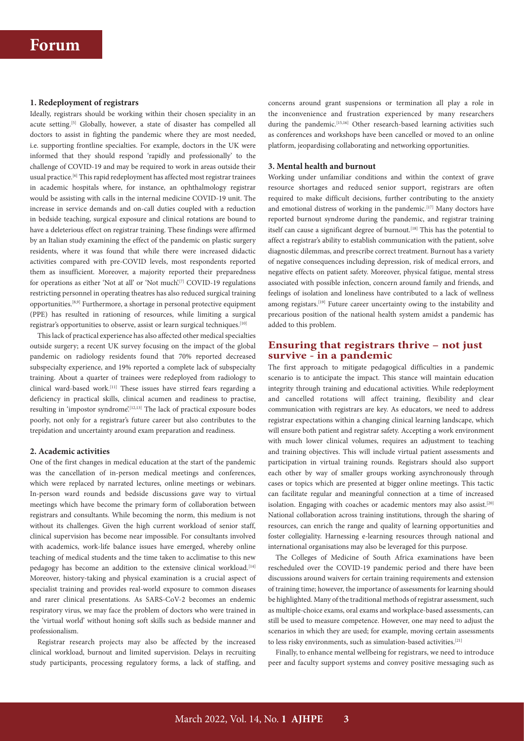#### **1. Redeployment of registrars**

Ideally, registrars should be working within their chosen speciality in an acute setting.<sup>[5]</sup> Globally, however, a state of disaster has compelled all doctors to assist in fighting the pandemic where they are most needed, i.e. supporting frontline specialties. For example, doctors in the UK were informed that they should respond 'rapidly and professionally' to the challenge of COVID‑19 and may be required to work in areas outside their usual practice.[6] This rapid redeployment has affected most registrar trainees in academic hospitals where, for instance, an ophthalmology registrar would be assisting with calls in the internal medicine COVID-19 unit. The increase in service demands and on-call duties coupled with a reduction in bedside teaching, surgical exposure and clinical rotations are bound to have a deleterious effect on registrar training. These findings were affirmed by an Italian study examining the effect of the pandemic on plastic surgery residents, where it was found that while there were increased didactic activities compared with pre-COVID levels, most respondents reported them as insufficient. Moreover, a majority reported their preparedness for operations as either 'Not at all' or 'Not much'.<sup>[7]</sup> COVID-19 regulations restricting personnel in operating theatres has also reduced surgical training opportunities.[8,9] Furthermore, a shortage in personal protective equipment (PPE) has resulted in rationing of resources, while limiting a surgical registrar's opportunities to observe, assist or learn surgical techniques.[10]

This lack of practical experience has also affected other medical specialties outside surgery; a recent UK survey focusing on the impact of the global pandemic on radiology residents found that 70% reported decreased subspecialty experience, and 19% reported a complete lack of subspecialty training. About a quarter of trainees were redeployed from radiology to clinical ward-based work.[11] These issues have stirred fears regarding a deficiency in practical skills, clinical acumen and readiness to practise, resulting in 'impostor syndrome'.[12,13] The lack of practical exposure bodes poorly, not only for a registrar's future career but also contributes to the trepidation and uncertainty around exam preparation and readiness.

#### **2. Academic activities**

One of the first changes in medical education at the start of the pandemic was the cancellation of in-person medical meetings and conferences, which were replaced by narrated lectures, online meetings or webinars. In-person ward rounds and bedside discussions gave way to virtual meetings which have become the primary form of collaboration between registrars and consultants. While becoming the norm, this medium is not without its challenges. Given the high current workload of senior staff, clinical supervision has become near impossible. For consultants involved with academics, work-life balance issues have emerged, whereby online teaching of medical students and the time taken to acclimatise to this new pedagogy has become an addition to the extensive clinical workload.<sup>[14]</sup> Moreover, history-taking and physical examination is a crucial aspect of specialist training and provides real-world exposure to common diseases and rarer clinical presentations. As SARS-CoV-2 becomes an endemic respiratory virus, we may face the problem of doctors who were trained in the 'virtual world' without honing soft skills such as bedside manner and professionalism.

Registrar research projects may also be affected by the increased clinical workload, burnout and limited supervision. Delays in recruiting study participants, processing regulatory forms, a lack of staffing, and concerns around grant suspensions or termination all play a role in the inconvenience and frustration experienced by many researchers during the pandemic.<sup>[15,16]</sup> Other research-based learning activities such as conferences and workshops have been cancelled or moved to an online platform, jeopardising collaborating and networking opportunities.

#### **3. Mental health and burnout**

Working under unfamiliar conditions and within the context of grave resource shortages and reduced senior support, registrars are often required to make difficult decisions, further contributing to the anxiety and emotional distress of working in the pandemic.<sup>[17]</sup> Many doctors have reported burnout syndrome during the pandemic, and registrar training itself can cause a significant degree of burnout.<sup>[18]</sup> This has the potential to affect a registrar's ability to establish communication with the patient, solve diagnostic dilemmas, and prescribe correct treatment. Burnout has a variety of negative consequences including depression, risk of medical errors, and negative effects on patient safety. Moreover, physical fatigue, mental stress associated with possible infection, concern around family and friends, and feelings of isolation and loneliness have contributed to a lack of wellness among registars.<sup>[19]</sup> Future career uncertainty owing to the instability and precarious position of the national health system amidst a pandemic has added to this problem.

## **Ensuring that registrars thrive – not just survive - in a pandemic**

The first approach to mitigate pedagogical difficulties in a pandemic scenario is to anticipate the impact. This stance will maintain education integrity through training and educational activities. While redeployment and cancelled rotations will affect training, flexibility and clear communication with registrars are key. As educators, we need to address registrar expectations within a changing clinical learning landscape, which will ensure both patient and registrar safety. Accepting a work environment with much lower clinical volumes, requires an adjustment to teaching and training objectives. This will include virtual patient assessments and participation in virtual training rounds. Registrars should also support each other by way of smaller groups working asynchronously through cases or topics which are presented at bigger online meetings. This tactic can facilitate regular and meaningful connection at a time of increased isolation. Engaging with coaches or academic mentors may also assist.<sup>[20]</sup> National collaboration across training institutions, through the sharing of resources, can enrich the range and quality of learning opportunities and foster collegiality. Harnessing e-learning resources through national and international organisations may also be leveraged for this purpose.

The Colleges of Medicine of South Africa examinations have been rescheduled over the COVID-19 pandemic period and there have been discussions around waivers for certain training requirements and extension of training time; however, the importance of assessments for learning should be highlighted. Many of the traditional methods of registrar assessment, such as multiple-choice exams, oral exams and workplace-based assessments, can still be used to measure competence. However, one may need to adjust the scenarios in which they are used; for example, moving certain assessments to less risky environments, such as simulation-based activities.[21]

Finally, to enhance mental wellbeing for registrars, we need to introduce peer and faculty support systems and convey positive messaging such as